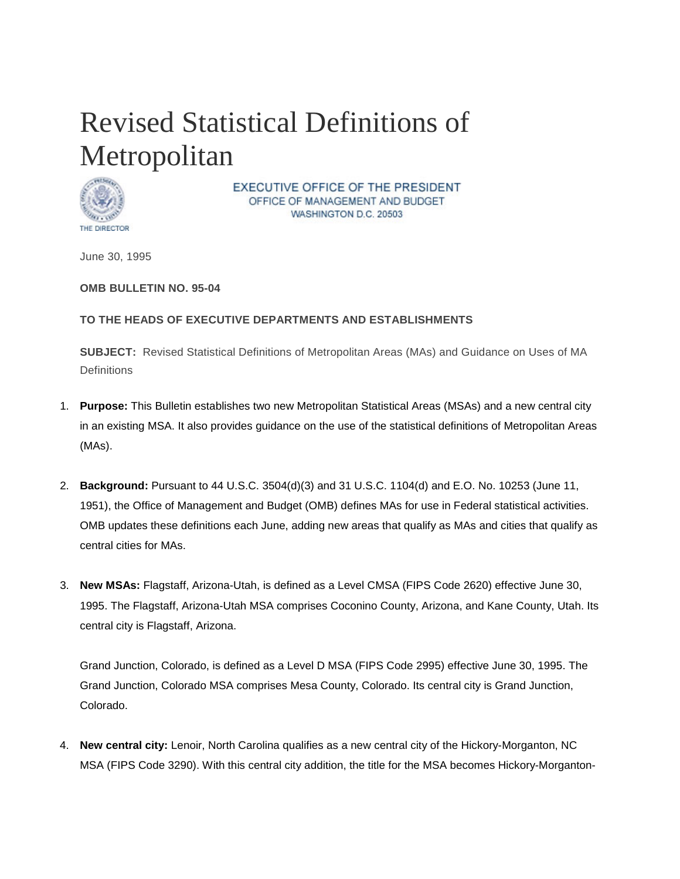## Revised Statistical Definitions of Metropolitan



EXECUTIVE OFFICE OF THE PRESIDENT OFFICE OF MANAGEMENT AND BUDGET WASHINGTON D.C. 20503

June 30, 1995

**OMB BULLETIN NO. 95-04**

## **TO THE HEADS OF EXECUTIVE DEPARTMENTS AND ESTABLISHMENTS**

**SUBJECT:** Revised Statistical Definitions of Metropolitan Areas (MAs) and Guidance on Uses of MA **Definitions** 

- 1. **Purpose:** This Bulletin establishes two new Metropolitan Statistical Areas (MSAs) and a new central city in an existing MSA. It also provides guidance on the use of the statistical definitions of Metropolitan Areas (MAs).
- 2. **Background:** Pursuant to 44 U.S.C. 3504(d)(3) and 31 U.S.C. 1104(d) and E.O. No. 10253 (June 11, 1951), the Office of Management and Budget (OMB) defines MAs for use in Federal statistical activities. OMB updates these definitions each June, adding new areas that qualify as MAs and cities that qualify as central cities for MAs.
- 3. **New MSAs:** Flagstaff, Arizona-Utah, is defined as a Level CMSA (FIPS Code 2620) effective June 30, 1995. The Flagstaff, Arizona-Utah MSA comprises Coconino County, Arizona, and Kane County, Utah. Its central city is Flagstaff, Arizona.

Grand Junction, Colorado, is defined as a Level D MSA (FIPS Code 2995) effective June 30, 1995. The Grand Junction, Colorado MSA comprises Mesa County, Colorado. Its central city is Grand Junction, Colorado.

4. **New central city:** Lenoir, North Carolina qualifies as a new central city of the Hickory-Morganton, NC MSA (FIPS Code 3290). With this central city addition, the title for the MSA becomes Hickory-Morganton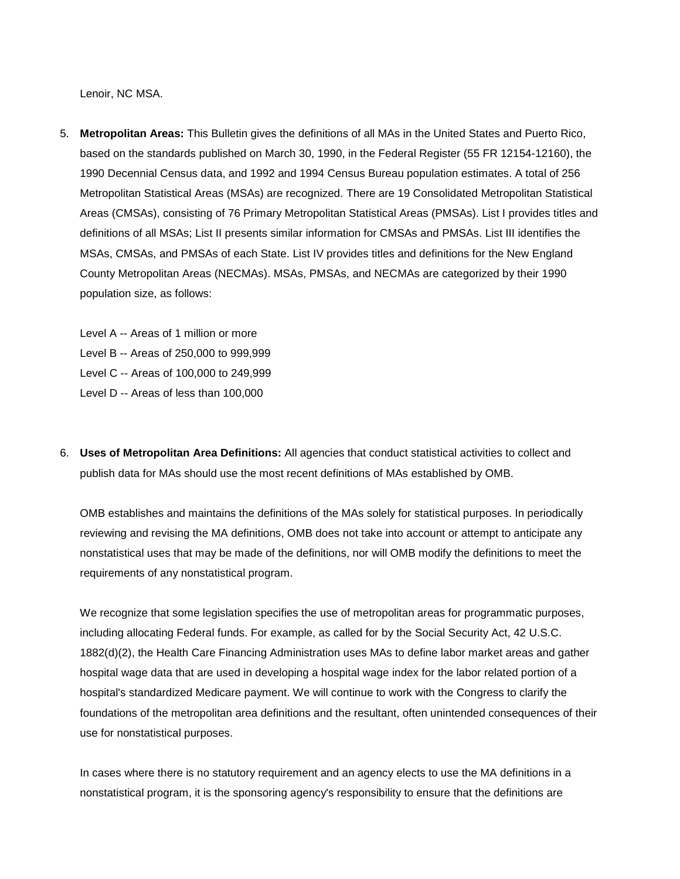Lenoir, NC MSA.

- 5. **Metropolitan Areas:** This Bulletin gives the definitions of all MAs in the United States and Puerto Rico, based on the standards published on March 30, 1990, in the Federal Register (55 FR 12154-12160), the 1990 Decennial Census data, and 1992 and 1994 Census Bureau population estimates. A total of 256 Metropolitan Statistical Areas (MSAs) are recognized. There are 19 Consolidated Metropolitan Statistical Areas (CMSAs), consisting of 76 Primary Metropolitan Statistical Areas (PMSAs). List I provides titles and definitions of all MSAs; List II presents similar information for CMSAs and PMSAs. List III identifies the MSAs, CMSAs, and PMSAs of each State. List IV provides titles and definitions for the New England County Metropolitan Areas (NECMAs). MSAs, PMSAs, and NECMAs are categorized by their 1990 population size, as follows:
	- Level A -- Areas of 1 million or more
	- Level B -- Areas of 250,000 to 999,999
	- Level C -- Areas of 100,000 to 249,999
	- Level D -- Areas of less than 100,000
- 6. **Uses of Metropolitan Area Definitions:** All agencies that conduct statistical activities to collect and publish data for MAs should use the most recent definitions of MAs established by OMB.

OMB establishes and maintains the definitions of the MAs solely for statistical purposes. In periodically reviewing and revising the MA definitions, OMB does not take into account or attempt to anticipate any nonstatistical uses that may be made of the definitions, nor will OMB modify the definitions to meet the requirements of any nonstatistical program.

We recognize that some legislation specifies the use of metropolitan areas for programmatic purposes, including allocating Federal funds. For example, as called for by the Social Security Act, 42 U.S.C. 1882(d)(2), the Health Care Financing Administration uses MAs to define labor market areas and gather hospital wage data that are used in developing a hospital wage index for the labor related portion of a hospital's standardized Medicare payment. We will continue to work with the Congress to clarify the foundations of the metropolitan area definitions and the resultant, often unintended consequences of their use for nonstatistical purposes.

In cases where there is no statutory requirement and an agency elects to use the MA definitions in a nonstatistical program, it is the sponsoring agency's responsibility to ensure that the definitions are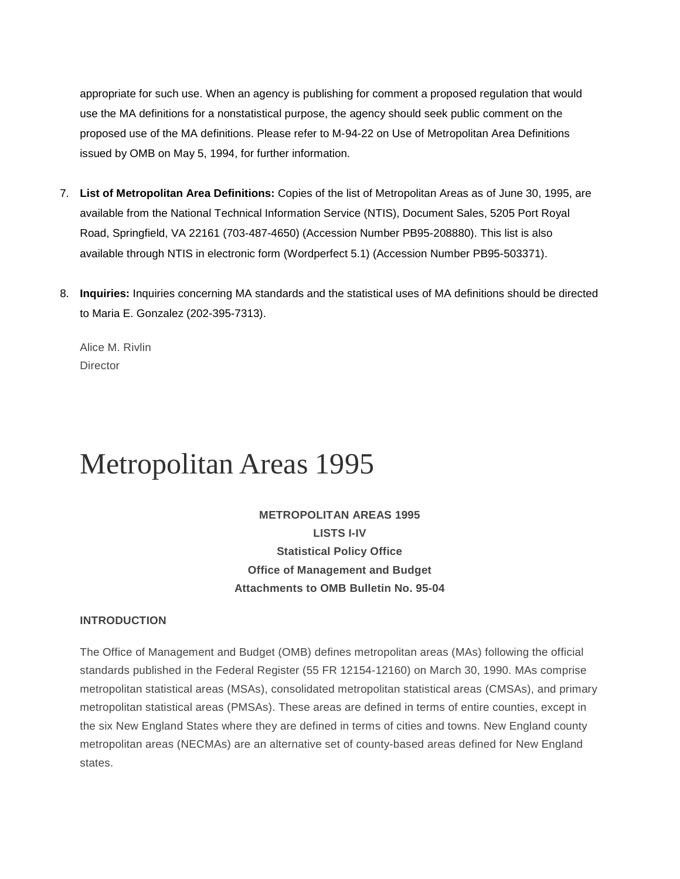appropriate for such use. When an agency is publishing for comment a proposed regulation that would use the MA definitions for a nonstatistical purpose, the agency should seek public comment on the proposed use of the MA definitions. Please refer to M-94-22 on Use of Metropolitan Area Definitions issued by OMB on May 5, 1994, for further information.

- 7. **List of Metropolitan Area Definitions:** Copies of the list of Metropolitan Areas as of June 30, 1995, are available from the National Technical Information Service (NTIS), Document Sales, 5205 Port Royal Road, Springfield, VA 22161 (703-487-4650) (Accession Number PB95-208880). This list is also available through NTIS in electronic form (Wordperfect 5.1) (Accession Number PB95-503371).
- 8. **Inquiries:** Inquiries concerning MA standards and the statistical uses of MA definitions should be directed to Maria E. Gonzalez (202-395-7313).

Alice M. Rivlin **Director** 

## Metropolitan Areas 1995

**METROPOLITAN AREAS 1995 LISTS I-IV Statistical Policy Office Office of Management and Budget Attachments to OMB Bulletin No. 95-04**

## **INTRODUCTION**

The Office of Management and Budget (OMB) defines metropolitan areas (MAs) following the official standards published in the Federal Register (55 FR 12154-12160) on March 30, 1990. MAs comprise metropolitan statistical areas (MSAs), consolidated metropolitan statistical areas (CMSAs), and primary metropolitan statistical areas (PMSAs). These areas are defined in terms of entire counties, except in the six New England States where they are defined in terms of cities and towns. New England county metropolitan areas (NECMAs) are an alternative set of county-based areas defined for New England states.